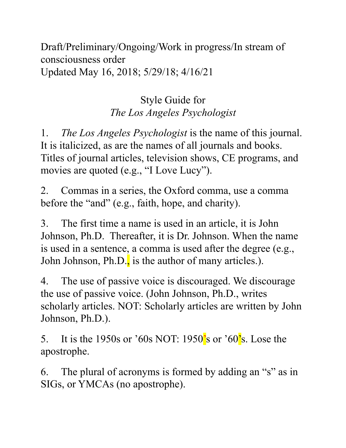Draft/Preliminary/Ongoing/Work in progress/In stream of consciousness order Updated May 16, 2018; 5/29/18; 4/16/21

## Style Guide for *The Los Angeles Psychologist*

1. *The Los Angeles Psychologist* is the name of this journal. It is italicized, as are the names of all journals and books. Titles of journal articles, television shows, CE programs, and movies are quoted (e.g., "I Love Lucy").

2. Commas in a series, the Oxford comma, use a comma before the "and" (e.g., faith, hope, and charity).

3. The first time a name is used in an article, it is John Johnson, Ph.D. Thereafter, it is Dr. Johnson. When the name is used in a sentence, a comma is used after the degree (e.g., John Johnson, Ph.D., is the author of many articles.).

4. The use of passive voice is discouraged. We discourage the use of passive voice. (John Johnson, Ph.D., writes scholarly articles. NOT: Scholarly articles are written by John Johnson, Ph.D.).

5. It is the 1950s or '60s NOT: 1950's or '60's. Lose the apostrophe.

6. The plural of acronyms is formed by adding an "s" as in SIGs, or YMCAs (no apostrophe).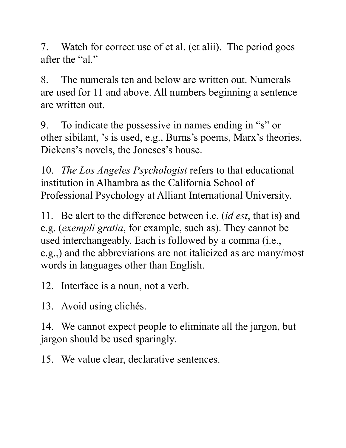7. Watch for correct use of et al. (et alii). The period goes after the "al."

8. The numerals ten and below are written out. Numerals are used for 11 and above. All numbers beginning a sentence are written out.

9. To indicate the possessive in names ending in "s" or other sibilant, 's is used, e.g., Burns's poems, Marx's theories, Dickens's novels, the Joneses's house.

10. *The Los Angeles Psychologist* refers to that educational institution in Alhambra as the California School of Professional Psychology at Alliant International University.

11. Be alert to the difference between i.e. (*id est*, that is) and e.g. (*exempli gratia*, for example, such as). They cannot be used interchangeably. Each is followed by a comma (i.e., e.g.,) and the abbreviations are not italicized as are many/most words in languages other than English.

12. Interface is a noun, not a verb.

13. Avoid using clichés.

14. We cannot expect people to eliminate all the jargon, but jargon should be used sparingly.

15. We value clear, declarative sentences.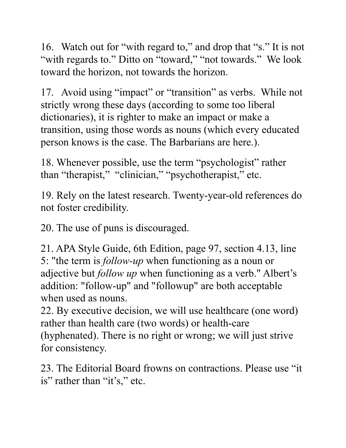16. Watch out for "with regard to," and drop that "s." It is not "with regards to." Ditto on "toward," "not towards." We look toward the horizon, not towards the horizon.

17. Avoid using "impact" or "transition" as verbs. While not strictly wrong these days (according to some too liberal dictionaries), it is righter to make an impact or make a transition, using those words as nouns (which every educated person knows is the case. The Barbarians are here.).

18. Whenever possible, use the term "psychologist" rather than "therapist," "clinician," "psychotherapist," etc.

19. Rely on the latest research. Twenty-year-old references do not foster credibility.

20. The use of puns is discouraged.

21. APA Style Guide, 6th Edition, page 97, section 4.13, line 5: "the term is *follow-up* when functioning as a noun or adjective but *follow up* when functioning as a verb." Albert's addition: "follow-up" and "followup" are both acceptable when used as nouns.

22. By executive decision, we will use healthcare (one word) rather than health care (two words) or health-care (hyphenated). There is no right or wrong; we will just strive for consistency.

23. The Editorial Board frowns on contractions. Please use "it is" rather than "it's," etc.